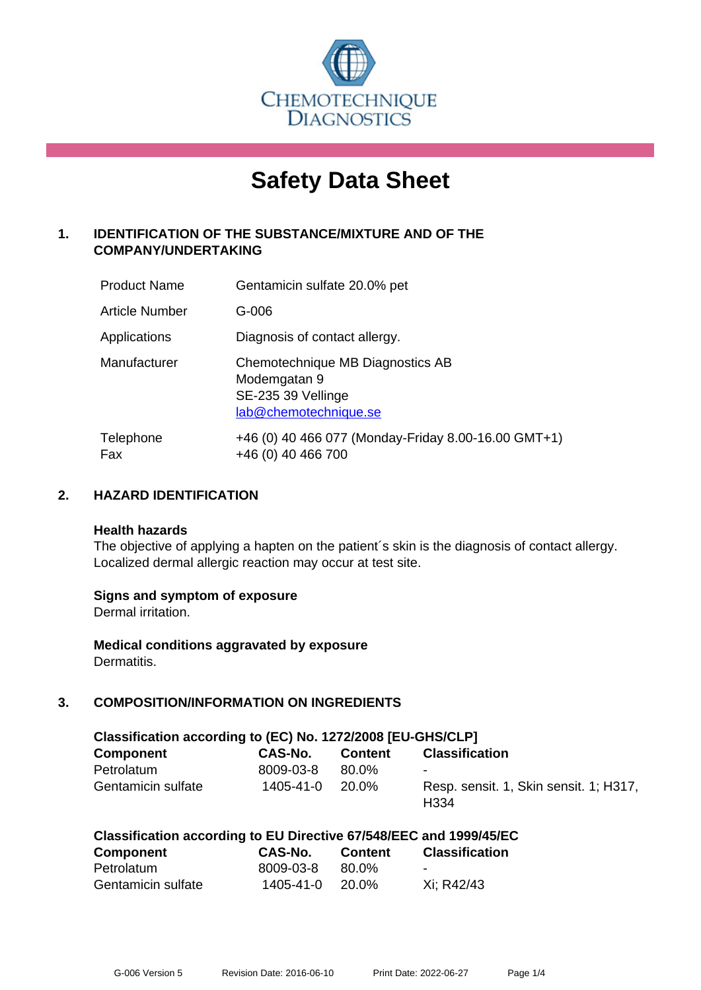

# **Safety Data Sheet**

# **1. IDENTIFICATION OF THE SUBSTANCE/MIXTURE AND OF THE COMPANY/UNDERTAKING**

| <b>Product Name</b> | Gentamicin sulfate 20.0% pet                                                                    |
|---------------------|-------------------------------------------------------------------------------------------------|
| Article Number      | $G-006$                                                                                         |
| Applications        | Diagnosis of contact allergy.                                                                   |
| Manufacturer        | Chemotechnique MB Diagnostics AB<br>Modemgatan 9<br>SE-235 39 Vellinge<br>lab@chemotechnique.se |
| Telephone<br>Fax    | +46 (0) 40 466 077 (Monday-Friday 8.00-16.00 GMT+1)<br>+46 (0) 40 466 700                       |

## **2. HAZARD IDENTIFICATION**

#### **Health hazards**

The objective of applying a hapten on the patient's skin is the diagnosis of contact allergy. Localized dermal allergic reaction may occur at test site.

## **Signs and symptom of exposure**

Dermal irritation.

**Medical conditions aggravated by exposure** Dermatitis.

# **3. COMPOSITION/INFORMATION ON INGREDIENTS**

| Classification according to (EC) No. 1272/2008 [EU-GHS/CLP] |           |                |                                                            |  |  |
|-------------------------------------------------------------|-----------|----------------|------------------------------------------------------------|--|--|
| <b>Component</b>                                            | CAS-No.   | <b>Content</b> | <b>Classification</b>                                      |  |  |
| Petrolatum                                                  | 8009-03-8 | 80.0%          | $\blacksquare$                                             |  |  |
| Gentamicin sulfate                                          | 1405-41-0 | 20.0%          | Resp. sensit. 1, Skin sensit. 1; H317,<br>H <sub>334</sub> |  |  |

|  | Classification according to EU Directive 67/548/EEC and 1999/45/EC |
|--|--------------------------------------------------------------------|
|--|--------------------------------------------------------------------|

| <b>Component</b>   | <b>CAS-No.</b> | <b>Content</b> | <b>Classification</b>    |
|--------------------|----------------|----------------|--------------------------|
| Petrolatum         | 8009-03-8      | 80.0%          | $\overline{\phantom{a}}$ |
| Gentamicin sulfate | 1405-41-0      | 20.0%          | Xi: R42/43               |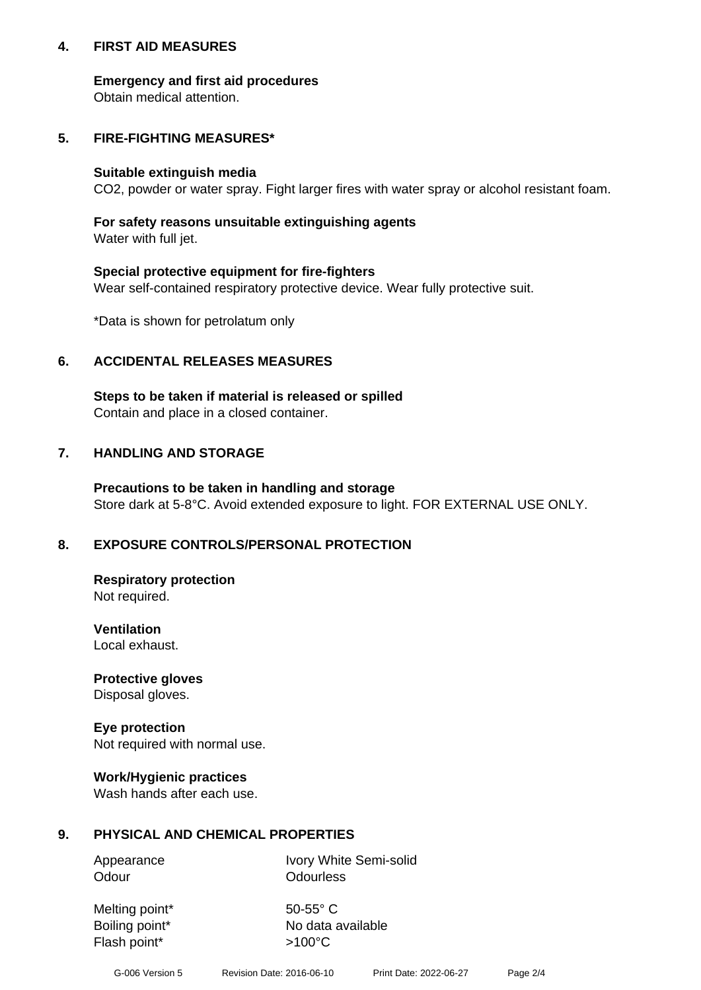## **4. FIRST AID MEASURES**

## **Emergency and first aid procedures**

Obtain medical attention.

# **5. FIRE-FIGHTING MEASURES\***

#### **Suitable extinguish media**

CO2, powder or water spray. Fight larger fires with water spray or alcohol resistant foam.

# **For safety reasons unsuitable extinguishing agents**

Water with full jet.

## **Special protective equipment for fire-fighters**

Wear self-contained respiratory protective device. Wear fully protective suit.

\*Data is shown for petrolatum only

## **6. ACCIDENTAL RELEASES MEASURES**

**Steps to be taken if material is released or spilled** Contain and place in a closed container.

# **7. HANDLING AND STORAGE**

**Precautions to be taken in handling and storage** Store dark at 5-8°C. Avoid extended exposure to light. FOR EXTERNAL USE ONLY.

# **8. EXPOSURE CONTROLS/PERSONAL PROTECTION**

**Respiratory protection** Not required.

**Ventilation** Local exhaust.

**Protective gloves** Disposal gloves.

#### **Eye protection** Not required with normal use.

## **Work/Hygienic practices**

Wash hands after each use.

## **9. PHYSICAL AND CHEMICAL PROPERTIES**

Odour **Odourless** 

Appearance Ivory White Semi-solid

Melting point\* 50-55° C Flash point\*  $>100^{\circ}$ C

Boiling point\* No data available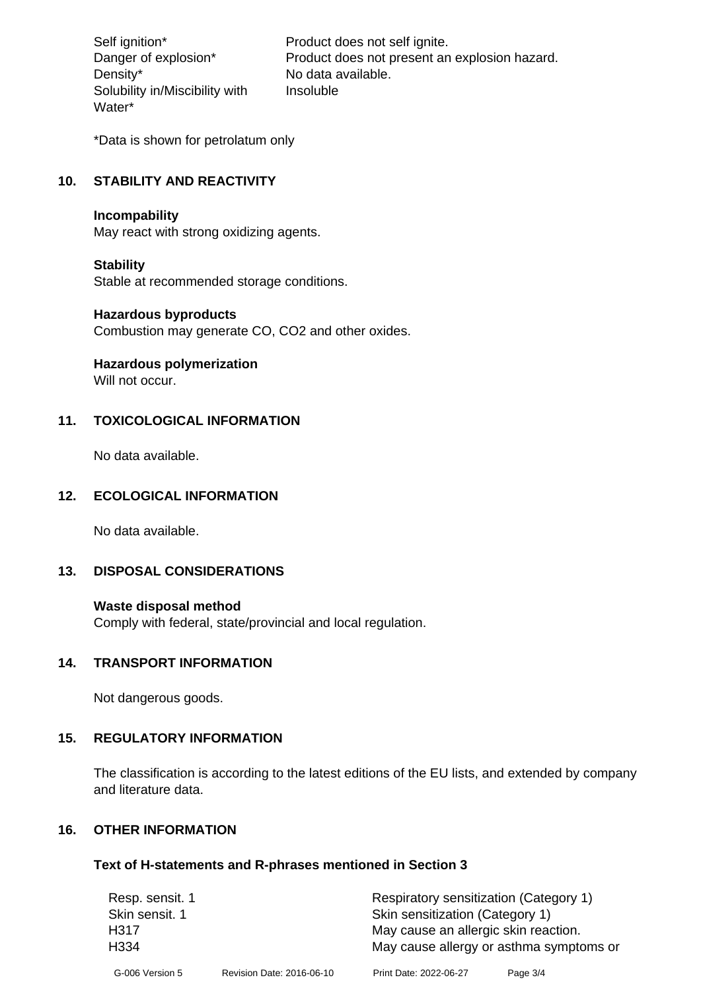Density\* No data available. Solubility in/Miscibility with Water\*

Self ignition\* Product does not self ignite. Danger of explosion\* Product does not present an explosion hazard. Insoluble

\*Data is shown for petrolatum only

# **10. STABILITY AND REACTIVITY**

#### **Incompability**

May react with strong oxidizing agents.

#### **Stability**

Stable at recommended storage conditions.

#### **Hazardous byproducts**

Combustion may generate CO, CO2 and other oxides.

**Hazardous polymerization**

Will not occur.

## **11. TOXICOLOGICAL INFORMATION**

No data available.

## **12. ECOLOGICAL INFORMATION**

No data available.

## **13. DISPOSAL CONSIDERATIONS**

#### **Waste disposal method**

Comply with federal, state/provincial and local regulation.

#### **14. TRANSPORT INFORMATION**

Not dangerous goods.

## **15. REGULATORY INFORMATION**

The classification is according to the latest editions of the EU lists, and extended by company and literature data.

#### **16. OTHER INFORMATION**

#### **Text of H-statements and R-phrases mentioned in Section 3**

| Resp. sensit. 1 |                           | Respiratory sensitization (Category 1)  |          |  |
|-----------------|---------------------------|-----------------------------------------|----------|--|
| Skin sensit. 1  |                           | Skin sensitization (Category 1)         |          |  |
| H317            |                           | May cause an allergic skin reaction.    |          |  |
| H334            |                           | May cause allergy or asthma symptoms or |          |  |
| G-006 Version 5 | Revision Date: 2016-06-10 | Print Date: 2022-06-27                  | Page 3/4 |  |